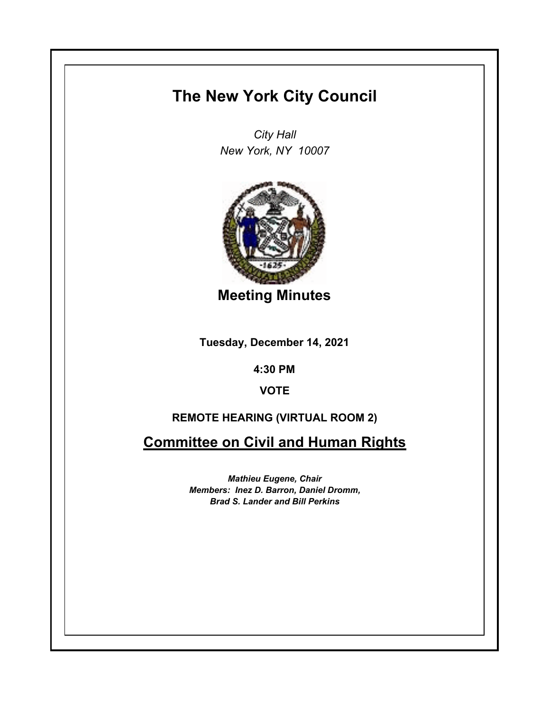# **The New York City Council**

*City Hall New York, NY 10007*



**Meeting Minutes**

**Tuesday, December 14, 2021**

**4:30 PM**

**VOTE**

## **REMOTE HEARING (VIRTUAL ROOM 2)**

**Committee on Civil and Human Rights**

*Mathieu Eugene, Chair Members: Inez D. Barron, Daniel Dromm, Brad S. Lander and Bill Perkins*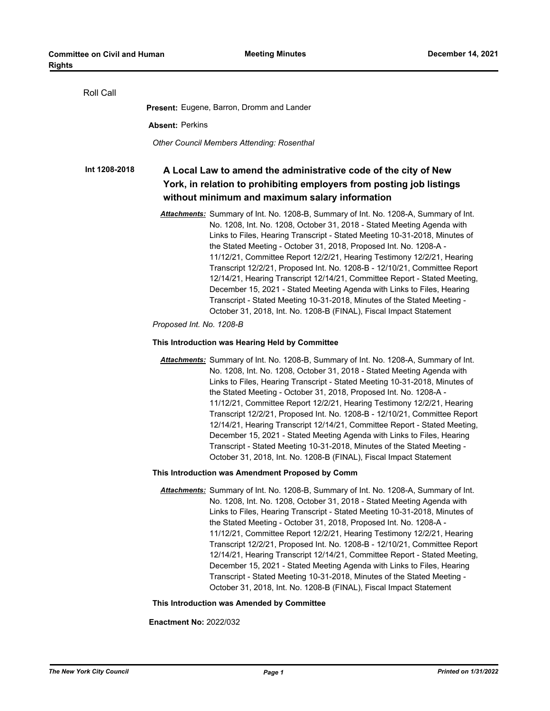| Roll Call     |                                                                                                                                                                                                                                                                                                                                                                                                                                                                                                                                                                                                                                                                                                                                                                                                              |
|---------------|--------------------------------------------------------------------------------------------------------------------------------------------------------------------------------------------------------------------------------------------------------------------------------------------------------------------------------------------------------------------------------------------------------------------------------------------------------------------------------------------------------------------------------------------------------------------------------------------------------------------------------------------------------------------------------------------------------------------------------------------------------------------------------------------------------------|
|               | <b>Present:</b> Eugene, Barron, Dromm and Lander                                                                                                                                                                                                                                                                                                                                                                                                                                                                                                                                                                                                                                                                                                                                                             |
|               | <b>Absent: Perkins</b>                                                                                                                                                                                                                                                                                                                                                                                                                                                                                                                                                                                                                                                                                                                                                                                       |
|               | <b>Other Council Members Attending: Rosenthal</b>                                                                                                                                                                                                                                                                                                                                                                                                                                                                                                                                                                                                                                                                                                                                                            |
| Int 1208-2018 | A Local Law to amend the administrative code of the city of New<br>York, in relation to prohibiting employers from posting job listings<br>without minimum and maximum salary information                                                                                                                                                                                                                                                                                                                                                                                                                                                                                                                                                                                                                    |
|               | Attachments: Summary of Int. No. 1208-B, Summary of Int. No. 1208-A, Summary of Int.<br>No. 1208, Int. No. 1208, October 31, 2018 - Stated Meeting Agenda with<br>Links to Files, Hearing Transcript - Stated Meeting 10-31-2018, Minutes of<br>the Stated Meeting - October 31, 2018, Proposed Int. No. 1208-A -<br>11/12/21, Committee Report 12/2/21, Hearing Testimony 12/2/21, Hearing<br>Transcript 12/2/21, Proposed Int. No. 1208-B - 12/10/21, Committee Report<br>12/14/21, Hearing Transcript 12/14/21, Committee Report - Stated Meeting,<br>December 15, 2021 - Stated Meeting Agenda with Links to Files, Hearing<br>Transcript - Stated Meeting 10-31-2018, Minutes of the Stated Meeting -<br>October 31, 2018, Int. No. 1208-B (FINAL), Fiscal Impact Statement<br>Proposed Int. No. 1208-B |
|               | This Introduction was Hearing Held by Committee                                                                                                                                                                                                                                                                                                                                                                                                                                                                                                                                                                                                                                                                                                                                                              |
|               | Attachments: Summary of Int. No. 1208-B, Summary of Int. No. 1208-A, Summary of Int.<br>No. 1208, Int. No. 1208, October 31, 2018 - Stated Meeting Agenda with<br>Links to Files, Hearing Transcript - Stated Meeting 10-31-2018, Minutes of<br>the Stated Meeting - October 31, 2018, Proposed Int. No. 1208-A -<br>11/12/21, Committee Report 12/2/21, Hearing Testimony 12/2/21, Hearing<br>Transcript 12/2/21, Proposed Int. No. 1208-B - 12/10/21, Committee Report<br>12/14/21, Hearing Transcript 12/14/21, Committee Report - Stated Meeting,<br>December 15, 2021 - Stated Meeting Agenda with Links to Files, Hearing<br>Transcript - Stated Meeting 10-31-2018, Minutes of the Stated Meeting -<br>October 31, 2018, Int. No. 1208-B (FINAL), Fiscal Impact Statement                             |
|               | This Introduction was Amendment Proposed by Comm                                                                                                                                                                                                                                                                                                                                                                                                                                                                                                                                                                                                                                                                                                                                                             |
|               | Attachments: Summary of Int. No. 1208-B, Summary of Int. No. 1208-A, Summary of Int.<br>No. 1208, Int. No. 1208, October 31, 2018 - Stated Meeting Agenda with<br>Links to Files, Hearing Transcript - Stated Meeting 10-31-2018, Minutes of<br>the Stated Meeting - October 31, 2018, Proposed Int. No. 1208-A -<br>11/12/21, Committee Report 12/2/21, Hearing Testimony 12/2/21, Hearing<br>Transcript 12/2/21, Proposed Int. No. 1208-B - 12/10/21, Committee Report<br>12/14/21, Hearing Transcript 12/14/21, Committee Report - Stated Meeting,<br>December 15, 2021 - Stated Meeting Agenda with Links to Files, Hearing<br>Transcript - Stated Meeting 10-31-2018, Minutes of the Stated Meeting -<br>October 31, 2018, Int. No. 1208-B (FINAL), Fiscal Impact Statement                             |
|               | This Introduction was Amended by Committee                                                                                                                                                                                                                                                                                                                                                                                                                                                                                                                                                                                                                                                                                                                                                                   |

**Enactment No:** 2022/032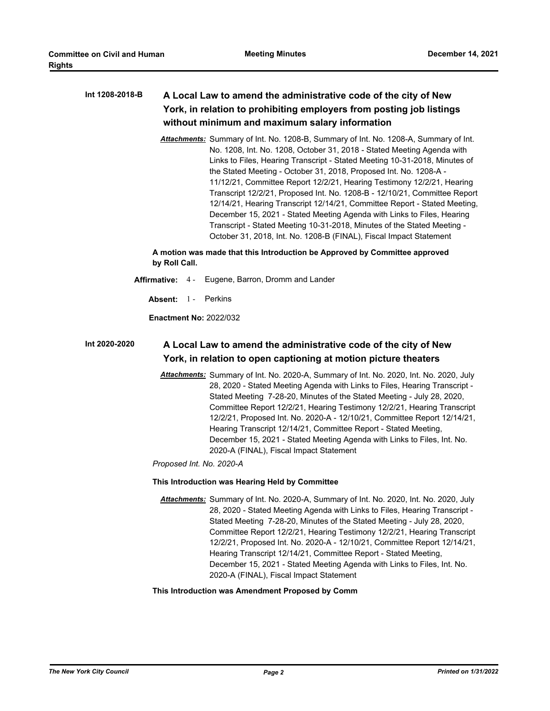#### **A Local Law to amend the administrative code of the city of New York, in relation to prohibiting employers from posting job listings without minimum and maximum salary information Int 1208-2018-B**

*Attachments:* Summary of Int. No. 1208-B, Summary of Int. No. 1208-A, Summary of Int. No. 1208, Int. No. 1208, October 31, 2018 - Stated Meeting Agenda with Links to Files, Hearing Transcript - Stated Meeting 10-31-2018, Minutes of the Stated Meeting - October 31, 2018, Proposed Int. No. 1208-A - 11/12/21, Committee Report 12/2/21, Hearing Testimony 12/2/21, Hearing Transcript 12/2/21, Proposed Int. No. 1208-B - 12/10/21, Committee Report 12/14/21, Hearing Transcript 12/14/21, Committee Report - Stated Meeting, December 15, 2021 - Stated Meeting Agenda with Links to Files, Hearing Transcript - Stated Meeting 10-31-2018, Minutes of the Stated Meeting - October 31, 2018, Int. No. 1208-B (FINAL), Fiscal Impact Statement

**A motion was made that this Introduction be Approved by Committee approved by Roll Call.**

- **Affirmative:** 4 Eugene, Barron, Dromm and Lander
	- Absent: 1 Perkins

**Enactment No:** 2022/032

#### **A Local Law to amend the administrative code of the city of New York, in relation to open captioning at motion picture theaters Int 2020-2020**

*Attachments:* Summary of Int. No. 2020-A, Summary of Int. No. 2020, Int. No. 2020, July 28, 2020 - Stated Meeting Agenda with Links to Files, Hearing Transcript - Stated Meeting 7-28-20, Minutes of the Stated Meeting - July 28, 2020, Committee Report 12/2/21, Hearing Testimony 12/2/21, Hearing Transcript 12/2/21, Proposed Int. No. 2020-A - 12/10/21, Committee Report 12/14/21, Hearing Transcript 12/14/21, Committee Report - Stated Meeting, December 15, 2021 - Stated Meeting Agenda with Links to Files, Int. No. 2020-A (FINAL), Fiscal Impact Statement

*Proposed Int. No. 2020-A*

### **This Introduction was Hearing Held by Committee**

*Attachments:* Summary of Int. No. 2020-A, Summary of Int. No. 2020, Int. No. 2020, July 28, 2020 - Stated Meeting Agenda with Links to Files, Hearing Transcript - Stated Meeting 7-28-20, Minutes of the Stated Meeting - July 28, 2020, Committee Report 12/2/21, Hearing Testimony 12/2/21, Hearing Transcript 12/2/21, Proposed Int. No. 2020-A - 12/10/21, Committee Report 12/14/21, Hearing Transcript 12/14/21, Committee Report - Stated Meeting, December 15, 2021 - Stated Meeting Agenda with Links to Files, Int. No. 2020-A (FINAL), Fiscal Impact Statement

## **This Introduction was Amendment Proposed by Comm**